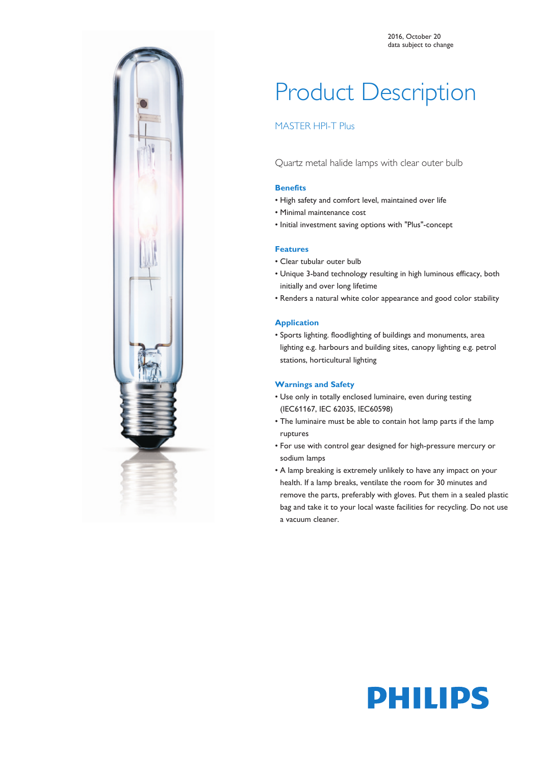

# Product Description

## MASTER HPI-T Plus

Quartz metal halide lamps with clear outer bulb

#### **Benefits**

- High safety and comfort level, maintained over life
- Minimal maintenance cost
- Initial investment saving options with "Plus"-concept

#### **Features**

- Clear tubular outer bulb
- Unique 3-band technology resulting in high luminous efficacy, both initially and over long lifetime
- Renders a natural white color appearance and good color stability

#### **Application**

• Sports lighting. floodlighting of buildings and monuments, area lighting e.g. harbours and building sites, canopy lighting e.g. petrol stations, horticultural lighting

#### **Warnings and Safety**

- Use only in totally enclosed luminaire, even during testing (IEC61167, IEC 62035, IEC60598)
- The luminaire must be able to contain hot lamp parts if the lamp ruptures
- For use with control gear designed for high-pressure mercury or sodium lamps
- A lamp breaking is extremely unlikely to have any impact on your health. If a lamp breaks, ventilate the room for 30 minutes and remove the parts, preferably with gloves. Put them in a sealed plastic bag and take it to your local waste facilities for recycling. Do not use a vacuum cleaner.

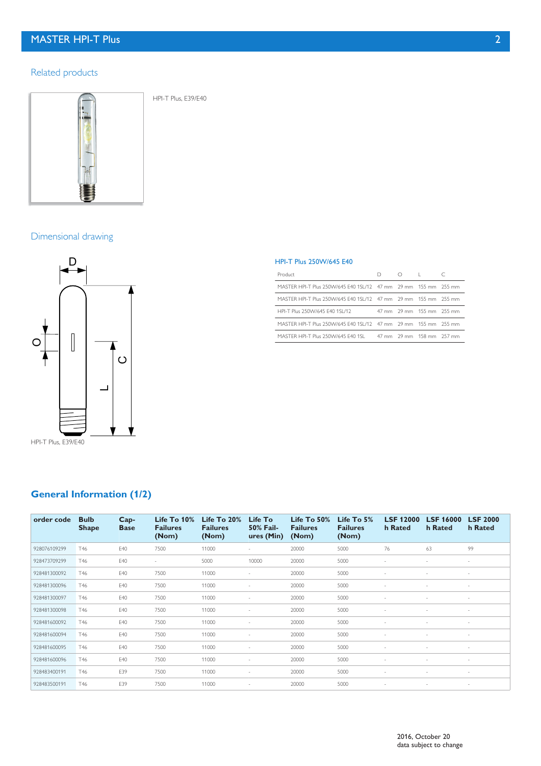## Related products



HPI-T Plus, E39/E40

Dimensional drawing



# **General Information (1/2)**

| order code   | <b>Bulb</b><br><b>Shape</b> | $Cap-$<br><b>Base</b> | Life To $10\%$<br><b>Failures</b><br>(Nom) | Life To $20%$<br><b>Failures</b><br>(Nom) | Life To<br><b>50% Fail-</b><br>ures (Min) | Life To $50\%$<br><b>Failures</b><br>(Nom) | Life To 5%<br><b>Failures</b><br>(Nom) | <b>LSF 12000</b><br>h Rated | <b>LSF 16000</b><br>h Rated | <b>LSF 2000</b><br>h Rated |
|--------------|-----------------------------|-----------------------|--------------------------------------------|-------------------------------------------|-------------------------------------------|--------------------------------------------|----------------------------------------|-----------------------------|-----------------------------|----------------------------|
| 928076109299 | T46                         | E40                   | 7500                                       | 11000                                     | $\sim$                                    | 20000                                      | 5000                                   | 76                          | 63                          | 99                         |
| 928473709299 | T46                         | E40                   | ×,                                         | 5000                                      | 10000                                     | 20000                                      | 5000                                   |                             |                             | ٠                          |
| 928481300092 | T46                         | E40                   | 7500                                       | 11000                                     |                                           | 20000                                      | 5000                                   |                             |                             | ٠                          |
| 928481300096 | T46                         | E40                   | 7500                                       | 11000                                     |                                           | 20000                                      | 5000                                   |                             |                             | ٠                          |
| 928481300097 | T46                         | E40                   | 7500                                       | 11000                                     |                                           | 20000                                      | 5000                                   |                             |                             | ٠                          |
| 928481300098 | T46                         | E40                   | 7500                                       | 11000                                     |                                           | 20000                                      | 5000                                   |                             |                             |                            |
| 928481600092 | T46                         | E40                   | 7500                                       | 11000                                     |                                           | 20000                                      | 5000                                   |                             |                             | ٠                          |
| 928481600094 | T46                         | E40                   | 7500                                       | 11000                                     | $\sim$                                    | 20000                                      | 5000                                   |                             |                             | ٠                          |
| 928481600095 | T46                         | E40                   | 7500                                       | 11000                                     |                                           | 20000                                      | 5000                                   |                             |                             | ٠                          |
| 928481600096 | T46                         | E40                   | 7500                                       | 11000                                     |                                           | 20000                                      | 5000                                   |                             |                             | ٠                          |
| 928483400191 | T46                         | E39                   | 7500                                       | 11000                                     | $\sim$                                    | 20000                                      | 5000                                   |                             | $\sim$                      | $\overline{\phantom{a}}$   |
| 928483500191 | T46                         | E39                   | 7500                                       | 11000                                     | $\sim$                                    | 20000                                      | 5000                                   |                             |                             | $\overline{\phantom{a}}$   |

#### HPI-T Plus 250W/645 E40

| Product                                                          |  | $D$ $D$ $I$               |  |
|------------------------------------------------------------------|--|---------------------------|--|
| MASTER HPI-T Plus 250VV/645 E40 1SL/12 47 mm 29 mm 155 mm 255 mm |  |                           |  |
| MASTER HPI-T Plus 250VV/645 E40 1SL/12 47 mm 29 mm 155 mm 255 mm |  |                           |  |
| HPI-T Plus 250W/645 F40 1SL/12                                   |  | 47 mm 29 mm 155 mm 255 mm |  |
| MASTER HPI-T Plus 250W/645 E40 1SL/12 47 mm 29 mm 155 mm 255 mm  |  |                           |  |
| MASTER HPI-T Plus 250W/645 F40 1SL 47 mm 29 mm 158 mm 257 mm     |  |                           |  |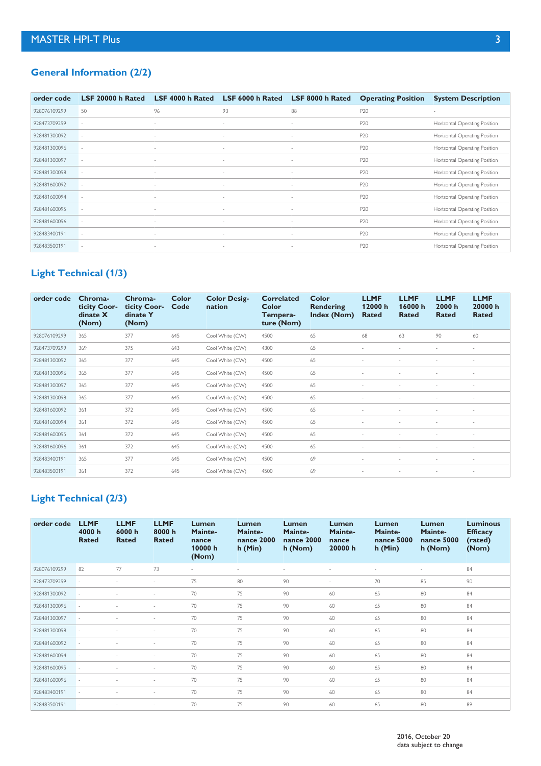## **General Information (2/2)**

| order code   | LSF 20000 h Rated | LSF 4000 h Rated         | LSF 6000 h Rated         | LSF 8000 h Rated         | <b>Operating Position</b> | <b>System Description</b>     |
|--------------|-------------------|--------------------------|--------------------------|--------------------------|---------------------------|-------------------------------|
| 928076109299 | 50                | 96                       | 93                       | 88                       | P20                       | $\sim$                        |
| 928473709299 | $\sim$            | $\overline{\phantom{a}}$ | $\overline{\phantom{a}}$ | ٠                        | P20                       | Horizontal Operating Position |
| 928481300092 |                   | $\overline{\phantom{a}}$ | $\overline{\phantom{a}}$ | ٠                        | P <sub>20</sub>           | Horizontal Operating Position |
| 928481300096 |                   | $\overline{\phantom{a}}$ | $\sim$                   | ٠                        | P <sub>20</sub>           | Horizontal Operating Position |
| 928481300097 | $\sim$            | $\overline{\phantom{a}}$ | $\overline{\phantom{a}}$ | $\overline{\phantom{a}}$ | P <sub>20</sub>           | Horizontal Operating Position |
| 928481300098 | $\sim$            | $\overline{\phantom{a}}$ | $\overline{\phantom{a}}$ | $\sim$                   | P <sub>20</sub>           | Horizontal Operating Position |
| 928481600092 |                   | $\sim$                   | $\overline{\phantom{a}}$ | ٠                        | P20                       | Horizontal Operating Position |
| 928481600094 | $\sim$            | $\overline{\phantom{a}}$ | $\overline{\phantom{a}}$ | $\sim$                   | P20                       | Horizontal Operating Position |
| 928481600095 |                   | ٠                        |                          | $\sim$                   | P20                       | Horizontal Operating Position |
| 928481600096 | $\sim$            | $\overline{\phantom{a}}$ | $\sim$                   | ٠                        | P20                       | Horizontal Operating Position |
| 928483400191 |                   | $\overline{\phantom{a}}$ | $\sim$                   | $\sim$                   | P <sub>20</sub>           | Horizontal Operating Position |
| 928483500191 | $\sim$            | $\sim$                   | $\sim$                   | $\sim$                   | P <sub>20</sub>           | Horizontal Operating Position |

# **Light Technical (1/3)**

| order code   | Chroma-<br>ticity Coor-<br>dinate X<br>(Nom) | Chroma-<br>ticity Coor-<br>dinate Y<br>(Nom) | Color<br>Code | <b>Color Desig-</b><br>nation | <b>Correlated</b><br>Color<br>Tempera-<br>ture (Nom) | Color<br>Rendering<br>Index (Nom) | <b>LLMF</b><br>12000 h<br>Rated | <b>LLMF</b><br>16000h<br>Rated | <b>LLMF</b><br>2000 h<br><b>Rated</b> | <b>LLMF</b><br>20000 h<br><b>Rated</b> |
|--------------|----------------------------------------------|----------------------------------------------|---------------|-------------------------------|------------------------------------------------------|-----------------------------------|---------------------------------|--------------------------------|---------------------------------------|----------------------------------------|
| 928076109299 | 365                                          | 377                                          | 645           | Cool White (CW)               | 4500                                                 | 65                                | 68                              | 63                             | 90                                    | 60                                     |
| 928473709299 | 369                                          | 375                                          | 643           | Cool White (CW)               | 4300                                                 | 65                                |                                 |                                | $\sim$                                | $\sim$                                 |
| 928481300092 | 365                                          | 377                                          | 645           | Cool White (CW)               | 4500                                                 | 65                                |                                 |                                |                                       |                                        |
| 928481300096 | 365                                          | 377                                          | 645           | Cool White (CW)               | 4500                                                 | 65                                |                                 |                                |                                       | $\overline{\phantom{a}}$               |
| 928481300097 | 365                                          | 377                                          | 645           | Cool White (CW)               | 4500                                                 | 65                                |                                 |                                |                                       |                                        |
| 928481300098 | 365                                          | 377                                          | 645           | Cool White (CW)               | 4500                                                 | 65                                |                                 |                                | $\sim$                                | $\sim$                                 |
| 928481600092 | 361                                          | 372                                          | 645           | Cool White (CW)               | 4500                                                 | 65                                |                                 |                                |                                       |                                        |
| 928481600094 | 361                                          | 372                                          | 645           | Cool White (CW)               | 4500                                                 | 65                                |                                 |                                | $\sim$                                | $\sim$                                 |
| 928481600095 | 361                                          | 372                                          | 645           | Cool White (CW)               | 4500                                                 | 65                                |                                 |                                |                                       |                                        |
| 928481600096 | 361                                          | 372                                          | 645           | Cool White (CW)               | 4500                                                 | 65                                |                                 |                                | $\sim$                                | $\sim$                                 |
| 928483400191 | 365                                          | 377                                          | 645           | Cool White (CW)               | 4500                                                 | 69                                |                                 |                                |                                       | $\sim$                                 |
| 928483500191 | 361                                          | 372                                          | 645           | Cool White (CW)               | 4500                                                 | 69                                |                                 |                                | $\sim$                                | $\sim$                                 |

# **Light Technical (2/3)**

| order code   | <b>LLMF</b><br>4000 h<br>Rated | <b>LLMF</b><br>6000h<br>Rated | <b>LLMF</b><br>8000h<br><b>Rated</b> | <b>Lumen</b><br>Mainte-<br>nance<br>10000 h<br>(Nom) | <b>Lumen</b><br>Mainte-<br>nance 2000<br>$h$ (Min) | <b>Lumen</b><br>Mainte-<br>nance 2000<br>h (Nom) | Lumen<br>Mainte-<br>nance<br>20000 h | Lumen<br>Mainte-<br><b>nance 5000</b><br>$h$ (Min) | <b>Lumen</b><br>Mainte-<br>nance 5000<br>h (Nom) | <b>Luminous</b><br><b>Efficacy</b><br>(rated)<br>(Nom) |
|--------------|--------------------------------|-------------------------------|--------------------------------------|------------------------------------------------------|----------------------------------------------------|--------------------------------------------------|--------------------------------------|----------------------------------------------------|--------------------------------------------------|--------------------------------------------------------|
| 928076109299 | 82                             | 77                            | 73                                   | $\sim$                                               | ×.                                                 | $\overline{\phantom{a}}$                         | $\overline{\phantom{a}}$             | $\sim$                                             | $\sim$                                           | 84                                                     |
| 928473709299 |                                |                               |                                      | 75                                                   | 80                                                 | 90                                               | ٠                                    | 70                                                 | 85                                               | 90                                                     |
| 928481300092 |                                |                               | ٠                                    | 70                                                   | 75                                                 | 90                                               | 60                                   | 65                                                 | 80                                               | 84                                                     |
| 928481300096 |                                |                               |                                      | 70                                                   | 75                                                 | 90                                               | 60                                   | 65                                                 | 80                                               | 84                                                     |
| 928481300097 |                                |                               |                                      | 70                                                   | 75                                                 | 90                                               | 60                                   | 65                                                 | 80                                               | 84                                                     |
| 928481300098 |                                |                               |                                      | 70                                                   | 75                                                 | 90                                               | 60                                   | 65                                                 | 80                                               | 84                                                     |
| 928481600092 |                                |                               |                                      | 70                                                   | 75                                                 | 90                                               | 60                                   | 65                                                 | 80                                               | 84                                                     |
| 928481600094 |                                |                               |                                      | 70                                                   | 75                                                 | 90                                               | 60                                   | 65                                                 | 80                                               | 84                                                     |
| 928481600095 |                                |                               |                                      | 70                                                   | 75                                                 | 90                                               | 60                                   | 65                                                 | 80                                               | 84                                                     |
| 928481600096 |                                |                               |                                      | 70                                                   | 75                                                 | 90                                               | 60                                   | 65                                                 | 80                                               | 84                                                     |
| 928483400191 |                                |                               | ٠                                    | 70                                                   | 75                                                 | 90                                               | 60                                   | 65                                                 | 80                                               | 84                                                     |
| 928483500191 |                                |                               |                                      | 70                                                   | 75                                                 | 90                                               | 60                                   | 65                                                 | 80                                               | 89                                                     |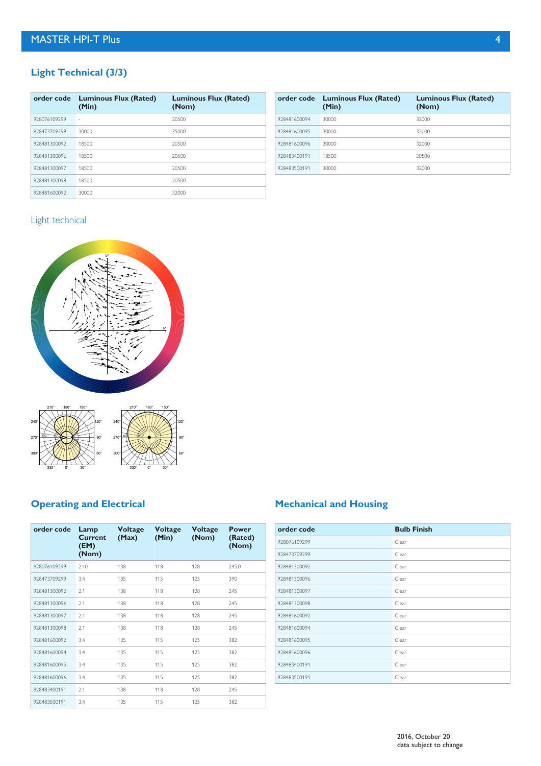# **Light Technical (3/3)**

| order code   | <b>Luminous Flux (Rated)</b><br>(Min) | <b>Luminous Flux (Rated)</b><br>(Nom) |
|--------------|---------------------------------------|---------------------------------------|
| 928076109299 |                                       | 20500                                 |
| 928473709299 | 30000                                 | 35000                                 |
| 928481300092 | 18500                                 | 20500                                 |
| 928481300096 | 18500                                 | 20500                                 |
| 928481300097 | 18500                                 | 20500                                 |
| 928481300098 | 18500                                 | 20500                                 |
| 928481600092 | 30000                                 | 32000                                 |

|              | order code Luminous Flux (Rated)<br>(Min) | <b>Luminous Flux (Rated)</b><br>(Nom) |
|--------------|-------------------------------------------|---------------------------------------|
| 928481600094 | 30000                                     | 32000                                 |
| 928481600095 | 30000                                     | 32000                                 |
| 928481600096 | 30000                                     | 32000                                 |
| 928483400191 | 18500                                     | 20500                                 |
| 928483500191 | 30000                                     | 32000                                 |

# Light technical





# **Operating and Electrical**

| order code   | Lamp<br>Current<br>(EM)<br>(Nom) | <b>Voltage</b><br>(Max) | <b>Voltage</b><br>(Min) | <b>Voltage</b><br>(Nom) | Power<br>(Rated)<br>(Nom) |
|--------------|----------------------------------|-------------------------|-------------------------|-------------------------|---------------------------|
| 928076109299 | 2.10                             | 138                     | 118                     | 128                     | 245.0                     |
| 928473709299 | 3.4                              | 135                     | 115                     | 125                     | 390                       |
| 928481300092 | 2.1                              | 138                     | 118                     | 128                     | 245                       |
| 928481300096 | 2.1                              | 138                     | 118                     | 128                     | 245                       |
| 928481300097 | 2.1                              | 138                     | 118                     | 128                     | 245                       |
| 928481300098 | 2.1                              | 138                     | 118                     | 128                     | 245                       |
| 928481600092 | 3.4                              | 135                     | 115                     | 125                     | 382                       |
| 928481600094 | 3.4                              | 135                     | 115                     | 125                     | 382                       |
| 928481600095 | 3.4                              | 135                     | 115                     | 125                     | 382                       |
| 928481600096 | 3.4                              | 135                     | 115                     | 125                     | 382                       |
| 928483400191 | 2.1                              | 138                     | 118                     | 128                     | 245                       |
| 928483500191 | 3.4                              | 135                     | 115                     | 125                     | 382                       |

# **Mechanical and Housing**

| order code   | <b>Bulb Finish</b> |
|--------------|--------------------|
| 928076109299 | Clear              |
| 928473709299 | Clear              |
| 928481300092 | Clear              |
| 928481300096 | Clear              |
| 928481300097 | Clear              |
| 928481300098 | Clear              |
| 928481600092 | Clear              |
| 928481600094 | Clear              |
| 928481600095 | Clear              |
| 928481600096 | Clear              |
| 928483400191 | Clear              |
| 928483500191 | Clear              |